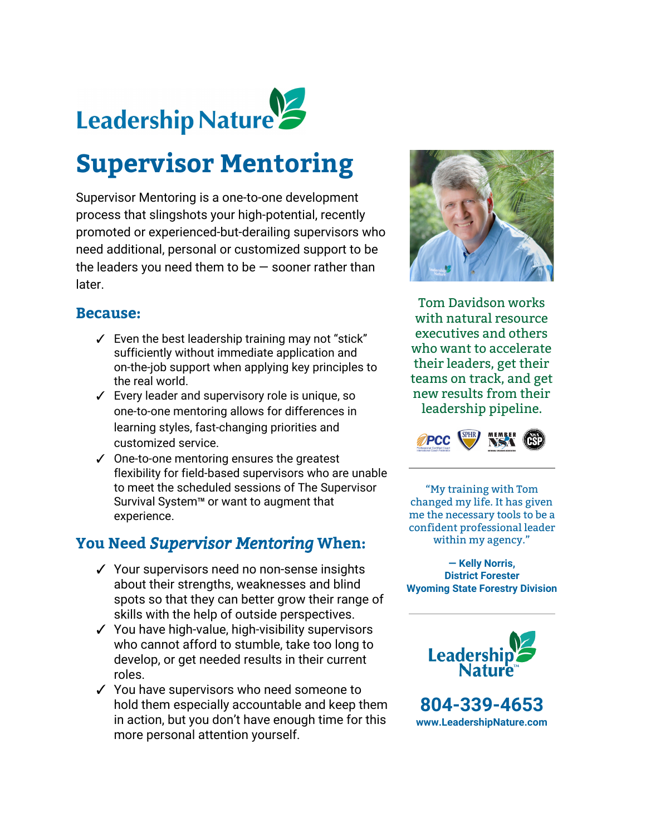

# **Supervisor Mentoring**

Supervisor Mentoring is a one-to-one development process that slingshots your high-potential, recently promoted or experienced-but-derailing supervisors who need additional, personal or customized support to be the leaders you need them to be  $-$  sooner rather than later.

#### **Because:**

- $\checkmark$  Even the best leadership training may not "stick" sufficiently without immediate application and on-the-job support when applying key principles to the real world.
- ✓ Every leader and supervisory role is unique, so one-to-one mentoring allows for differences in learning styles, fast-changing priorities and customized service.
- ✓ One-to-one mentoring ensures the greatest flexibility for field-based supervisors who are unable to meet the scheduled sessions of The Supervisor Survival System™ or want to augment that experience.

## **You Need** *Supervisor Mentoring***When:**

- ✓ Your supervisors need no non-sense insights about their strengths, weaknesses and blind spots so that they can better grow their range of skills with the help of outside perspectives.
- ✓ You have high-value, high-visibility supervisors who cannot afford to stumble, take too long to develop, or get needed results in their current roles.
- ✓ You have supervisors who need someone to hold them especially accountable and keep them in action, but you don't have enough time for this more personal attention yourself.



Tom Davidson works with natural resource executives and others who want to accelerate their leaders, get their teams on track, and get new results from their leadership pipeline.



"My training with Tom changed my life. It has given me the necessary tools to be a confident professional leader within my agency."

**— Kelly Norris, District Forester Wyoming State Forestry Division**



**804-339-4653 [www.LeadershipNature.com](http://www.leadershipnature.com/)**